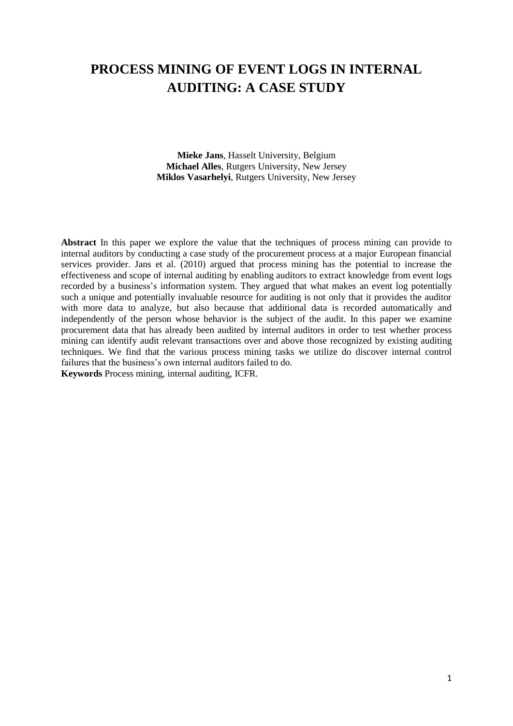# **PROCESS MINING OF EVENT LOGS IN INTERNAL AUDITING: A CASE STUDY**

**Mieke Jans**, Hasselt University, Belgium **Michael Alles**, Rutgers University, New Jersey **Miklos Vasarhelyi**, Rutgers University, New Jersey

**Abstract** In this paper we explore the value that the techniques of process mining can provide to internal auditors by conducting a case study of the procurement process at a major European financial services provider. Jans et al. (2010) argued that process mining has the potential to increase the effectiveness and scope of internal auditing by enabling auditors to extract knowledge from event logs recorded by a business's information system. They argued that what makes an event log potentially such a unique and potentially invaluable resource for auditing is not only that it provides the auditor with more data to analyze, but also because that additional data is recorded automatically and independently of the person whose behavior is the subject of the audit. In this paper we examine procurement data that has already been audited by internal auditors in order to test whether process mining can identify audit relevant transactions over and above those recognized by existing auditing techniques. We find that the various process mining tasks we utilize do discover internal control failures that the business's own internal auditors failed to do.

**Keywords** Process mining, internal auditing, ICFR.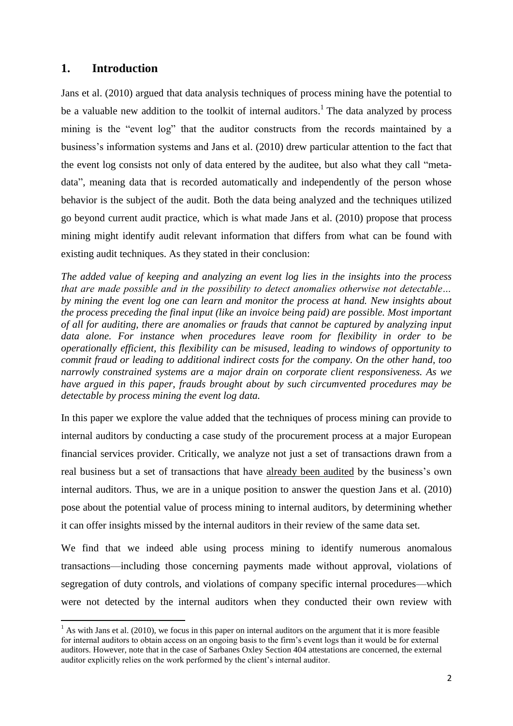# **1. Introduction**

 $\overline{\phantom{a}}$ 

Jans et al. (2010) argued that data analysis techniques of process mining have the potential to be a valuable new addition to the toolkit of internal auditors.<sup>1</sup> The data analyzed by process mining is the "event log" that the auditor constructs from the records maintained by a business"s information systems and Jans et al. (2010) drew particular attention to the fact that the event log consists not only of data entered by the auditee, but also what they call "metadata", meaning data that is recorded automatically and independently of the person whose behavior is the subject of the audit. Both the data being analyzed and the techniques utilized go beyond current audit practice, which is what made Jans et al. (2010) propose that process mining might identify audit relevant information that differs from what can be found with existing audit techniques. As they stated in their conclusion:

*The added value of keeping and analyzing an event log lies in the insights into the process that are made possible and in the possibility to detect anomalies otherwise not detectable… by mining the event log one can learn and monitor the process at hand. New insights about the process preceding the final input (like an invoice being paid) are possible. Most important of all for auditing, there are anomalies or frauds that cannot be captured by analyzing input data alone. For instance when procedures leave room for flexibility in order to be operationally efficient, this flexibility can be misused, leading to windows of opportunity to commit fraud or leading to additional indirect costs for the company. On the other hand, too narrowly constrained systems are a major drain on corporate client responsiveness. As we have argued in this paper, frauds brought about by such circumvented procedures may be detectable by process mining the event log data.*

In this paper we explore the value added that the techniques of process mining can provide to internal auditors by conducting a case study of the procurement process at a major European financial services provider. Critically, we analyze not just a set of transactions drawn from a real business but a set of transactions that have already been audited by the business"s own internal auditors. Thus, we are in a unique position to answer the question Jans et al. (2010) pose about the potential value of process mining to internal auditors, by determining whether it can offer insights missed by the internal auditors in their review of the same data set.

We find that we indeed able using process mining to identify numerous anomalous transactions—including those concerning payments made without approval, violations of segregation of duty controls, and violations of company specific internal procedures—which were not detected by the internal auditors when they conducted their own review with

 $<sup>1</sup>$  As with Jans et al. (2010), we focus in this paper on internal auditors on the argument that it is more feasible</sup> for internal auditors to obtain access on an ongoing basis to the firm"s event logs than it would be for external auditors. However, note that in the case of Sarbanes Oxley Section 404 attestations are concerned, the external auditor explicitly relies on the work performed by the client"s internal auditor.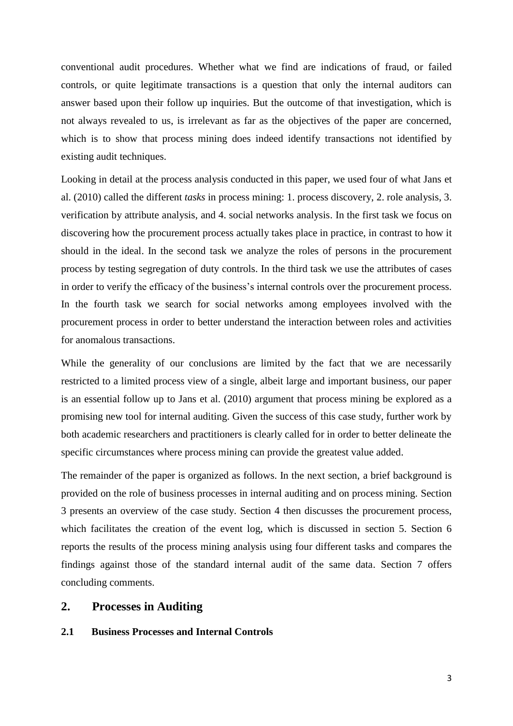conventional audit procedures. Whether what we find are indications of fraud, or failed controls, or quite legitimate transactions is a question that only the internal auditors can answer based upon their follow up inquiries. But the outcome of that investigation, which is not always revealed to us, is irrelevant as far as the objectives of the paper are concerned, which is to show that process mining does indeed identify transactions not identified by existing audit techniques.

Looking in detail at the process analysis conducted in this paper, we used four of what Jans et al. (2010) called the different *tasks* in process mining: 1. process discovery, 2. role analysis, 3. verification by attribute analysis, and 4. social networks analysis. In the first task we focus on discovering how the procurement process actually takes place in practice, in contrast to how it should in the ideal. In the second task we analyze the roles of persons in the procurement process by testing segregation of duty controls. In the third task we use the attributes of cases in order to verify the efficacy of the business's internal controls over the procurement process. In the fourth task we search for social networks among employees involved with the procurement process in order to better understand the interaction between roles and activities for anomalous transactions.

While the generality of our conclusions are limited by the fact that we are necessarily restricted to a limited process view of a single, albeit large and important business, our paper is an essential follow up to Jans et al. (2010) argument that process mining be explored as a promising new tool for internal auditing. Given the success of this case study, further work by both academic researchers and practitioners is clearly called for in order to better delineate the specific circumstances where process mining can provide the greatest value added.

The remainder of the paper is organized as follows. In the next section, a brief background is provided on the role of business processes in internal auditing and on process mining. Section 3 presents an overview of the case study. Section 4 then discusses the procurement process, which facilitates the creation of the event log, which is discussed in section 5. Section 6 reports the results of the process mining analysis using four different tasks and compares the findings against those of the standard internal audit of the same data. Section 7 offers concluding comments.

## **2. Processes in Auditing**

### **2.1 Business Processes and Internal Controls**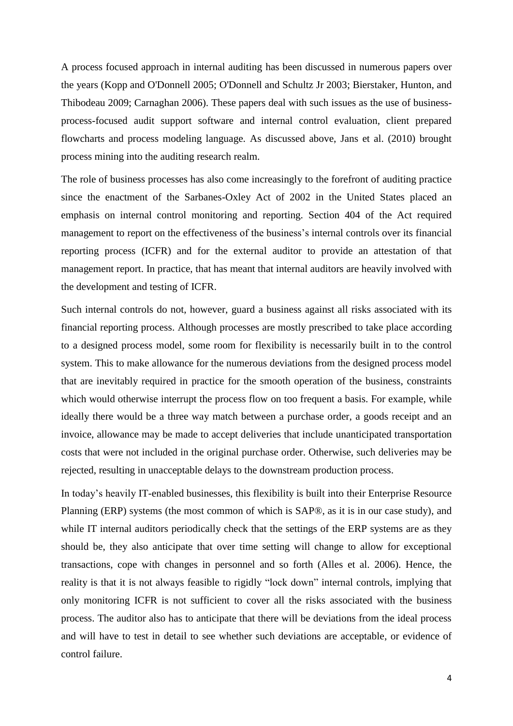A process focused approach in internal auditing has been discussed in numerous papers over the years [\(Kopp and O'Donnell 2005;](#page-26-0) [O'Donnell and Schultz Jr 2003;](#page-26-1) [Bierstaker, Hunton, and](#page-25-0)  [Thibodeau 2009;](#page-25-0) [Carnaghan 2006\)](#page-25-1). These papers deal with such issues as the use of businessprocess-focused audit support software and internal control evaluation, client prepared flowcharts and process modeling language. As discussed above, Jans et al. (2010) brought process mining into the auditing research realm.

The role of business processes has also come increasingly to the forefront of auditing practice since the enactment of the Sarbanes-Oxley Act of 2002 in the United States placed an emphasis on internal control monitoring and reporting. Section 404 of the Act required management to report on the effectiveness of the business"s internal controls over its financial reporting process (ICFR) and for the external auditor to provide an attestation of that management report. In practice, that has meant that internal auditors are heavily involved with the development and testing of ICFR.

Such internal controls do not, however, guard a business against all risks associated with its financial reporting process. Although processes are mostly prescribed to take place according to a designed process model, some room for flexibility is necessarily built in to the control system. This to make allowance for the numerous deviations from the designed process model that are inevitably required in practice for the smooth operation of the business, constraints which would otherwise interrupt the process flow on too frequent a basis. For example, while ideally there would be a three way match between a purchase order, a goods receipt and an invoice, allowance may be made to accept deliveries that include unanticipated transportation costs that were not included in the original purchase order. Otherwise, such deliveries may be rejected, resulting in unacceptable delays to the downstream production process.

In today"s heavily IT-enabled businesses, this flexibility is built into their Enterprise Resource Planning (ERP) systems (the most common of which is SAP®, as it is in our case study), and while IT internal auditors periodically check that the settings of the ERP systems are as they should be, they also anticipate that over time setting will change to allow for exceptional transactions, cope with changes in personnel and so forth (Alles et al. 2006). Hence, the reality is that it is not always feasible to rigidly "lock down" internal controls, implying that only monitoring ICFR is not sufficient to cover all the risks associated with the business process. The auditor also has to anticipate that there will be deviations from the ideal process and will have to test in detail to see whether such deviations are acceptable, or evidence of control failure.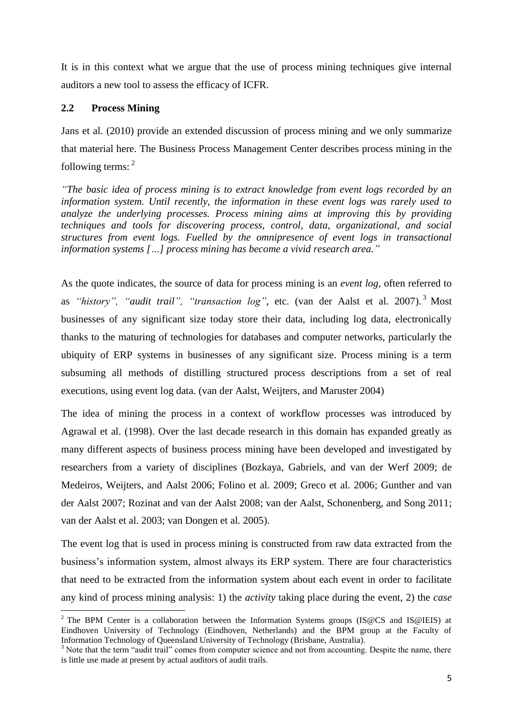It is in this context what we argue that the use of process mining techniques give internal auditors a new tool to assess the efficacy of ICFR.

### **2.2 Process Mining**

Jans et al. (2010) provide an extended discussion of process mining and we only summarize that material here. The Business Process Management Center describes process mining in the following terms: <sup>2</sup>

*"The basic idea of process mining is to extract knowledge from event logs recorded by an information system. Until recently, the information in these event logs was rarely used to analyze the underlying processes. Process mining aims at improving this by providing techniques and tools for discovering process, control, data, organizational, and social structures from event logs. Fuelled by the omnipresence of event logs in transactional information systems […] process mining has become a vivid research area."*

As the quote indicates, the source of data for process mining is an *event log*, often referred to as *"history", "audit trail", "transaction log"*, etc. [\(van der Aalst et al. 2007\)](#page-26-2). <sup>3</sup> Most businesses of any significant size today store their data, including log data, electronically thanks to the maturing of technologies for databases and computer networks, particularly the ubiquity of ERP systems in businesses of any significant size. Process mining is a term subsuming all methods of distilling structured process descriptions from a set of real executions, using event log data. [\(van der Aalst, Weijters, and Maruster 2004\)](#page-26-3)

The idea of mining the process in a context of workflow processes was introduced by Agrawal et al. [\(1998\)](#page-25-2). Over the last decade research in this domain has expanded greatly as many different aspects of business process mining have been developed and investigated by researchers from a variety of disciplines [\(Bozkaya, Gabriels, and van der Werf 2009;](#page-25-3) [de](#page-25-4)  [Medeiros, Weijters, and Aalst 2006;](#page-25-4) [Folino et al. 2009;](#page-25-5) [Greco et al. 2006;](#page-25-6) [Gunther and van](#page-25-7)  [der Aalst 2007;](#page-25-7) [Rozinat and van der Aalst 2008;](#page-26-4) [van der Aalst, Schonenberg, and Song 2011;](#page-26-5) [van der Aalst et al. 2003;](#page-26-6) [van Dongen et al. 2005\)](#page-26-7).

The event log that is used in process mining is constructed from raw data extracted from the business"s information system, almost always its ERP system. There are four characteristics that need to be extracted from the information system about each event in order to facilitate any kind of process mining analysis: 1) the *activity* taking place during the event, 2) the *case*

 $\overline{\phantom{a}}$ <sup>2</sup> The BPM Center is a collaboration between the Information Systems groups (IS@CS and IS@IEIS) at Eindhoven University of Technology (Eindhoven, Netherlands) and the BPM group at the Faculty of Information Technology of Queensland University of Technology (Brisbane, Australia).

<sup>&</sup>lt;sup>3</sup> Note that the term "audit trail" comes from computer science and not from accounting. Despite the name, there is little use made at present by actual auditors of audit trails.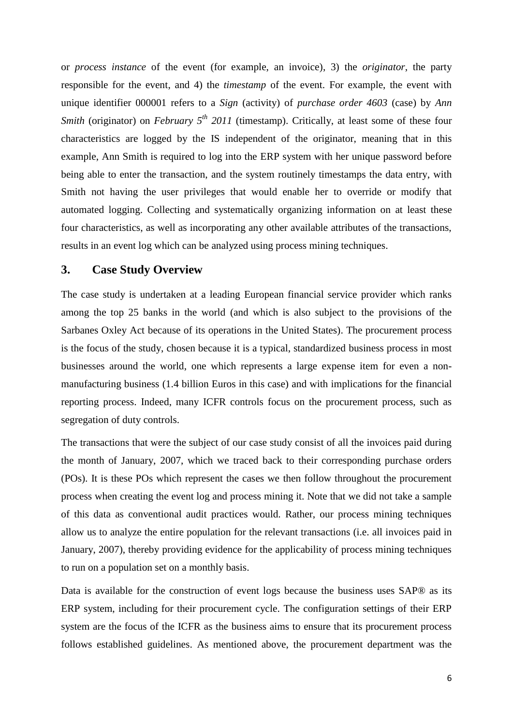or *process instance* of the event (for example, an invoice), 3) the *originator*, the party responsible for the event, and 4) the *timestamp* of the event. For example, the event with unique identifier 000001 refers to a *Sign* (activity) of *purchase order 4603* (case) by *Ann Smith* (originator) on *February*  $5^{th}$  *2011* (timestamp). Critically, at least some of these four characteristics are logged by the IS independent of the originator, meaning that in this example, Ann Smith is required to log into the ERP system with her unique password before being able to enter the transaction, and the system routinely timestamps the data entry, with Smith not having the user privileges that would enable her to override or modify that automated logging. Collecting and systematically organizing information on at least these four characteristics, as well as incorporating any other available attributes of the transactions, results in an event log which can be analyzed using process mining techniques.

### **3. Case Study Overview**

The case study is undertaken at a leading European financial service provider which ranks among the top 25 banks in the world (and which is also subject to the provisions of the Sarbanes Oxley Act because of its operations in the United States). The procurement process is the focus of the study, chosen because it is a typical, standardized business process in most businesses around the world, one which represents a large expense item for even a nonmanufacturing business (1.4 billion Euros in this case) and with implications for the financial reporting process. Indeed, many ICFR controls focus on the procurement process, such as segregation of duty controls.

The transactions that were the subject of our case study consist of all the invoices paid during the month of January, 2007, which we traced back to their corresponding purchase orders (POs). It is these POs which represent the cases we then follow throughout the procurement process when creating the event log and process mining it. Note that we did not take a sample of this data as conventional audit practices would. Rather, our process mining techniques allow us to analyze the entire population for the relevant transactions (i.e. all invoices paid in January, 2007), thereby providing evidence for the applicability of process mining techniques to run on a population set on a monthly basis.

Data is available for the construction of event logs because the business uses SAP® as its ERP system, including for their procurement cycle. The configuration settings of their ERP system are the focus of the ICFR as the business aims to ensure that its procurement process follows established guidelines. As mentioned above, the procurement department was the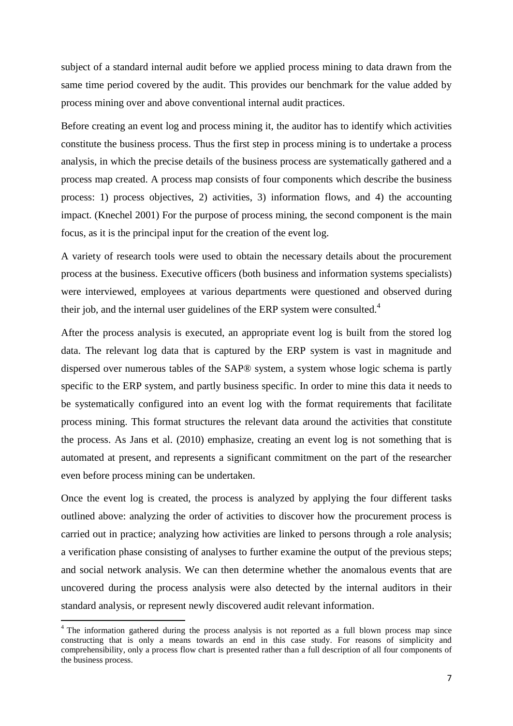subject of a standard internal audit before we applied process mining to data drawn from the same time period covered by the audit. This provides our benchmark for the value added by process mining over and above conventional internal audit practices.

Before creating an event log and process mining it, the auditor has to identify which activities constitute the business process. Thus the first step in process mining is to undertake a process analysis, in which the precise details of the business process are systematically gathered and a process map created. A process map consists of four components which describe the business process: 1) process objectives, 2) activities, 3) information flows, and 4) the accounting impact. [\(Knechel 2001\)](#page-25-8) For the purpose of process mining, the second component is the main focus, as it is the principal input for the creation of the event log.

A variety of research tools were used to obtain the necessary details about the procurement process at the business. Executive officers (both business and information systems specialists) were interviewed, employees at various departments were questioned and observed during their job, and the internal user guidelines of the ERP system were consulted.<sup>4</sup>

After the process analysis is executed, an appropriate event log is built from the stored log data. The relevant log data that is captured by the ERP system is vast in magnitude and dispersed over numerous tables of the SAP® system, a system whose logic schema is partly specific to the ERP system, and partly business specific. In order to mine this data it needs to be systematically configured into an event log with the format requirements that facilitate process mining. This format structures the relevant data around the activities that constitute the process. As Jans et al. (2010) emphasize, creating an event log is not something that is automated at present, and represents a significant commitment on the part of the researcher even before process mining can be undertaken.

Once the event log is created, the process is analyzed by applying the four different tasks outlined above: analyzing the order of activities to discover how the procurement process is carried out in practice; analyzing how activities are linked to persons through a role analysis; a verification phase consisting of analyses to further examine the output of the previous steps; and social network analysis. We can then determine whether the anomalous events that are uncovered during the process analysis were also detected by the internal auditors in their standard analysis, or represent newly discovered audit relevant information.

 $\overline{\phantom{a}}$ 

 $4$  The information gathered during the process analysis is not reported as a full blown process map since constructing that is only a means towards an end in this case study. For reasons of simplicity and comprehensibility, only a process flow chart is presented rather than a full description of all four components of the business process.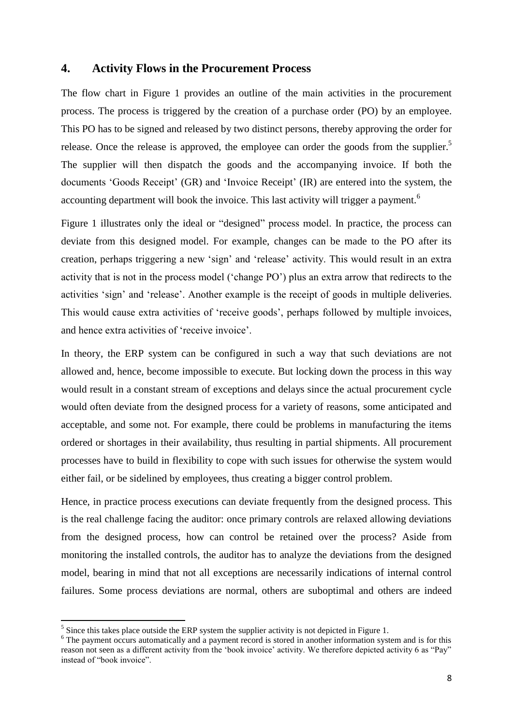### **4. Activity Flows in the Procurement Process**

The flow chart in Figure 1 provides an outline of the main activities in the procurement process. The process is triggered by the creation of a purchase order (PO) by an employee. This PO has to be signed and released by two distinct persons, thereby approving the order for release. Once the release is approved, the employee can order the goods from the supplier.<sup>5</sup> The supplier will then dispatch the goods and the accompanying invoice. If both the documents 'Goods Receipt' (GR) and 'Invoice Receipt' (IR) are entered into the system, the accounting department will book the invoice. This last activity will trigger a payment.<sup>6</sup>

Figure 1 illustrates only the ideal or "designed" process model. In practice, the process can deviate from this designed model. For example, changes can be made to the PO after its creation, perhaps triggering a new "sign" and "release" activity. This would result in an extra activity that is not in the process model ("change PO") plus an extra arrow that redirects to the activities "sign" and "release". Another example is the receipt of goods in multiple deliveries. This would cause extra activities of "receive goods", perhaps followed by multiple invoices, and hence extra activities of "receive invoice".

In theory, the ERP system can be configured in such a way that such deviations are not allowed and, hence, become impossible to execute. But locking down the process in this way would result in a constant stream of exceptions and delays since the actual procurement cycle would often deviate from the designed process for a variety of reasons, some anticipated and acceptable, and some not. For example, there could be problems in manufacturing the items ordered or shortages in their availability, thus resulting in partial shipments. All procurement processes have to build in flexibility to cope with such issues for otherwise the system would either fail, or be sidelined by employees, thus creating a bigger control problem.

Hence, in practice process executions can deviate frequently from the designed process. This is the real challenge facing the auditor: once primary controls are relaxed allowing deviations from the designed process, how can control be retained over the process? Aside from monitoring the installed controls, the auditor has to analyze the deviations from the designed model, bearing in mind that not all exceptions are necessarily indications of internal control failures. Some process deviations are normal, others are suboptimal and others are indeed

<sup>&</sup>lt;sup>5</sup> Since this takes place outside the ERP system the supplier activity is not depicted in Figure 1.

<sup>&</sup>lt;sup>6</sup> The payment occurs automatically and a payment record is stored in another information system and is for this reason not seen as a different activity from the 'book invoice' activity. We therefore depicted activity 6 as "Pay" instead of "book invoice".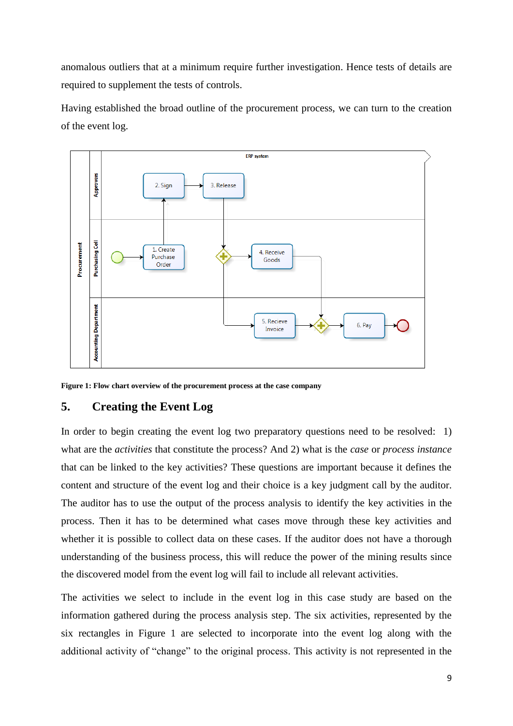anomalous outliers that at a minimum require further investigation. Hence tests of details are required to supplement the tests of controls.

Having established the broad outline of the procurement process, we can turn to the creation of the event log.



**Figure 1: Flow chart overview of the procurement process at the case company**

# **5. Creating the Event Log**

In order to begin creating the event log two preparatory questions need to be resolved: 1) what are the *activities* that constitute the process? And 2) what is the *case* or *process instance* that can be linked to the key activities? These questions are important because it defines the content and structure of the event log and their choice is a key judgment call by the auditor. The auditor has to use the output of the process analysis to identify the key activities in the process. Then it has to be determined what cases move through these key activities and whether it is possible to collect data on these cases. If the auditor does not have a thorough understanding of the business process, this will reduce the power of the mining results since the discovered model from the event log will fail to include all relevant activities.

The activities we select to include in the event log in this case study are based on the information gathered during the process analysis step. The six activities, represented by the six rectangles in Figure 1 are selected to incorporate into the event log along with the additional activity of "change" to the original process. This activity is not represented in the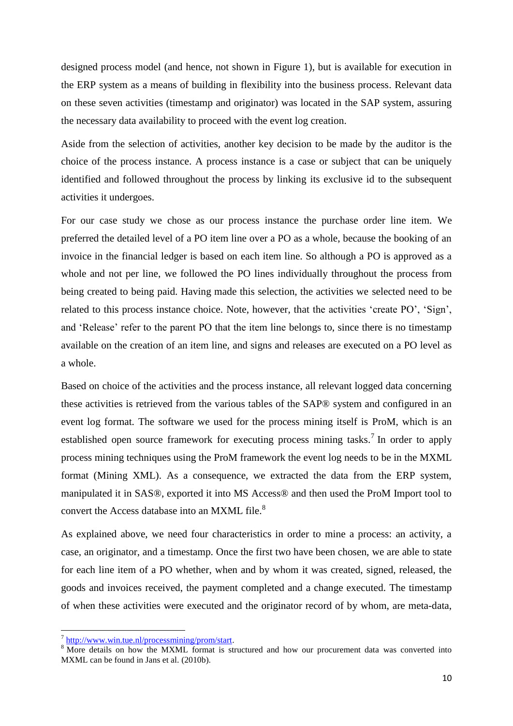designed process model (and hence, not shown in Figure 1), but is available for execution in the ERP system as a means of building in flexibility into the business process. Relevant data on these seven activities (timestamp and originator) was located in the SAP system, assuring the necessary data availability to proceed with the event log creation.

Aside from the selection of activities, another key decision to be made by the auditor is the choice of the process instance. A process instance is a case or subject that can be uniquely identified and followed throughout the process by linking its exclusive id to the subsequent activities it undergoes.

For our case study we chose as our process instance the purchase order line item. We preferred the detailed level of a PO item line over a PO as a whole, because the booking of an invoice in the financial ledger is based on each item line. So although a PO is approved as a whole and not per line, we followed the PO lines individually throughout the process from being created to being paid. Having made this selection, the activities we selected need to be related to this process instance choice. Note, however, that the activities "create PO", "Sign", and 'Release' refer to the parent PO that the item line belongs to, since there is no timestamp available on the creation of an item line, and signs and releases are executed on a PO level as a whole.

Based on choice of the activities and the process instance, all relevant logged data concerning these activities is retrieved from the various tables of the SAP® system and configured in an event log format. The software we used for the process mining itself is ProM, which is an established open source framework for executing process mining tasks.<sup>7</sup> In order to apply process mining techniques using the ProM framework the event log needs to be in the MXML format (Mining XML). As a consequence, we extracted the data from the ERP system, manipulated it in SAS®, exported it into MS Access® and then used the ProM Import tool to convert the Access database into an MXML file.<sup>8</sup>

As explained above, we need four characteristics in order to mine a process: an activity, a case, an originator, and a timestamp. Once the first two have been chosen, we are able to state for each line item of a PO whether, when and by whom it was created, signed, released, the goods and invoices received, the payment completed and a change executed. The timestamp of when these activities were executed and the originator record of by whom, are meta-data,

l

<sup>&</sup>lt;sup>7</sup> [http://www.win.tue.nl/processmining/prom/start.](http://www.win.tue.nl/processmining/prom/start)

<sup>&</sup>lt;sup>8</sup> More details on how the MXML format is structured and how our procurement data was converted into MXML can be found in Jans et al. (2010b).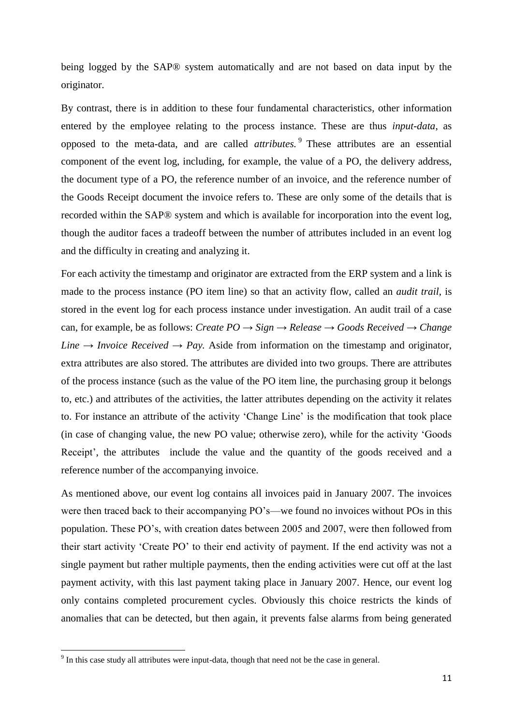being logged by the SAP® system automatically and are not based on data input by the originator.

By contrast, there is in addition to these four fundamental characteristics, other information entered by the employee relating to the process instance. These are thus *input-data*, as opposed to the meta-data, and are called *attributes.* <sup>9</sup> These attributes are an essential component of the event log, including, for example, the value of a PO, the delivery address, the document type of a PO, the reference number of an invoice, and the reference number of the Goods Receipt document the invoice refers to. These are only some of the details that is recorded within the SAP® system and which is available for incorporation into the event log, though the auditor faces a tradeoff between the number of attributes included in an event log and the difficulty in creating and analyzing it.

For each activity the timestamp and originator are extracted from the ERP system and a link is made to the process instance (PO item line) so that an activity flow, called an *audit trail*, is stored in the event log for each process instance under investigation. An audit trail of a case can, for example, be as follows: *Create PO → Sign → Release → Goods Received → Change Line*  $\rightarrow$  *Invoice Received*  $\rightarrow$  *Pay.* Aside from information on the timestamp and originator, extra attributes are also stored. The attributes are divided into two groups. There are attributes of the process instance (such as the value of the PO item line, the purchasing group it belongs to, etc.) and attributes of the activities, the latter attributes depending on the activity it relates to. For instance an attribute of the activity "Change Line" is the modification that took place (in case of changing value, the new PO value; otherwise zero), while for the activity "Goods Receipt', the attributes include the value and the quantity of the goods received and a reference number of the accompanying invoice.

As mentioned above, our event log contains all invoices paid in January 2007. The invoices were then traced back to their accompanying PO"s—we found no invoices without POs in this population. These PO"s, with creation dates between 2005 and 2007, were then followed from their start activity "Create PO" to their end activity of payment. If the end activity was not a single payment but rather multiple payments, then the ending activities were cut off at the last payment activity, with this last payment taking place in January 2007. Hence, our event log only contains completed procurement cycles. Obviously this choice restricts the kinds of anomalies that can be detected, but then again, it prevents false alarms from being generated

<sup>&</sup>lt;sup>9</sup> In this case study all attributes were input-data, though that need not be the case in general.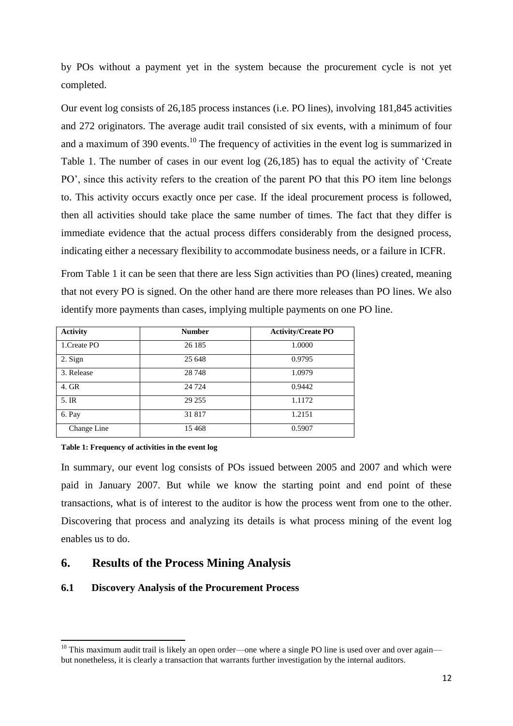by POs without a payment yet in the system because the procurement cycle is not yet completed.

Our event log consists of 26,185 process instances (i.e. PO lines), involving 181,845 activities and 272 originators. The average audit trail consisted of six events, with a minimum of four and a maximum of 390 events.<sup>10</sup> The frequency of activities in the event log is summarized in Table 1. The number of cases in our event log (26,185) has to equal the activity of "Create PO", since this activity refers to the creation of the parent PO that this PO item line belongs to. This activity occurs exactly once per case. If the ideal procurement process is followed, then all activities should take place the same number of times. The fact that they differ is immediate evidence that the actual process differs considerably from the designed process, indicating either a necessary flexibility to accommodate business needs, or a failure in ICFR.

From Table 1 it can be seen that there are less Sign activities than PO (lines) created, meaning that not every PO is signed. On the other hand are there more releases than PO lines. We also identify more payments than cases, implying multiple payments on one PO line.

| <b>Activity</b> | <b>Number</b> | <b>Activity/Create PO</b> |
|-----------------|---------------|---------------------------|
| 1. Create PO    | 26 185        | 1.0000                    |
| 2. Sign         | 25 648        | 0.9795                    |
| 3. Release      | 28 748        | 1.0979                    |
| 4. GR           | 24 7 24       | 0.9442                    |
| 5. IR           | 29 25 5       | 1.1172                    |
| 6. Pay          | 31817         | 1.2151                    |
| Change Line     | 15468         | 0.5907                    |

#### **Table 1: Frequency of activities in the event log**

 $\overline{\phantom{a}}$ 

In summary, our event log consists of POs issued between 2005 and 2007 and which were paid in January 2007. But while we know the starting point and end point of these transactions, what is of interest to the auditor is how the process went from one to the other. Discovering that process and analyzing its details is what process mining of the event log enables us to do.

# **6. Results of the Process Mining Analysis**

### **6.1 Discovery Analysis of the Procurement Process**

 $10$  This maximum audit trail is likely an open order—one where a single PO line is used over and over again but nonetheless, it is clearly a transaction that warrants further investigation by the internal auditors.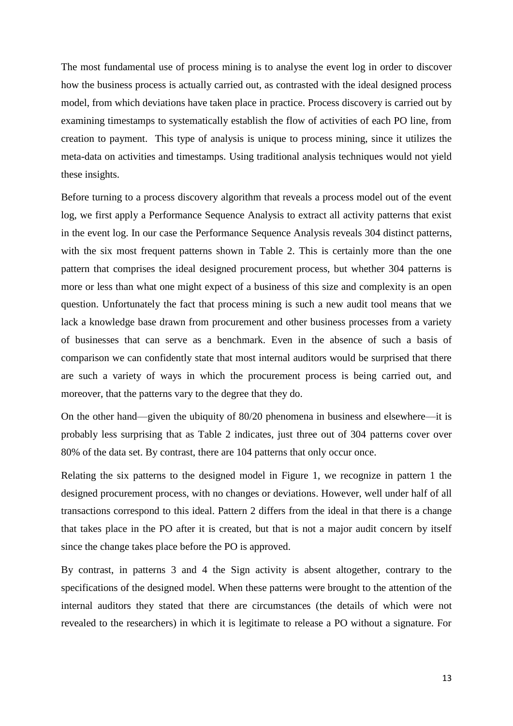The most fundamental use of process mining is to analyse the event log in order to discover how the business process is actually carried out, as contrasted with the ideal designed process model, from which deviations have taken place in practice. Process discovery is carried out by examining timestamps to systematically establish the flow of activities of each PO line, from creation to payment. This type of analysis is unique to process mining, since it utilizes the meta-data on activities and timestamps. Using traditional analysis techniques would not yield these insights.

Before turning to a process discovery algorithm that reveals a process model out of the event log, we first apply a Performance Sequence Analysis to extract all activity patterns that exist in the event log. In our case the Performance Sequence Analysis reveals 304 distinct patterns, with the six most frequent patterns shown in Table 2. This is certainly more than the one pattern that comprises the ideal designed procurement process, but whether 304 patterns is more or less than what one might expect of a business of this size and complexity is an open question. Unfortunately the fact that process mining is such a new audit tool means that we lack a knowledge base drawn from procurement and other business processes from a variety of businesses that can serve as a benchmark. Even in the absence of such a basis of comparison we can confidently state that most internal auditors would be surprised that there are such a variety of ways in which the procurement process is being carried out, and moreover, that the patterns vary to the degree that they do.

On the other hand—given the ubiquity of 80/20 phenomena in business and elsewhere—it is probably less surprising that as Table 2 indicates, just three out of 304 patterns cover over 80% of the data set. By contrast, there are 104 patterns that only occur once.

Relating the six patterns to the designed model in Figure 1, we recognize in pattern 1 the designed procurement process, with no changes or deviations. However, well under half of all transactions correspond to this ideal. Pattern 2 differs from the ideal in that there is a change that takes place in the PO after it is created, but that is not a major audit concern by itself since the change takes place before the PO is approved.

By contrast, in patterns 3 and 4 the Sign activity is absent altogether, contrary to the specifications of the designed model. When these patterns were brought to the attention of the internal auditors they stated that there are circumstances (the details of which were not revealed to the researchers) in which it is legitimate to release a PO without a signature. For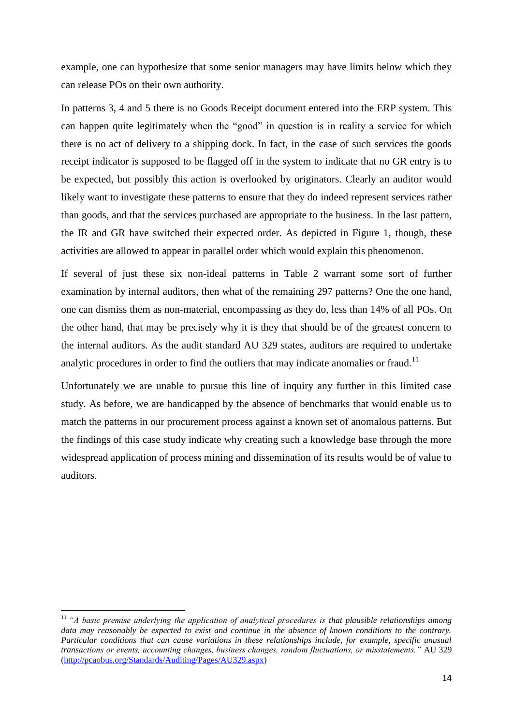example, one can hypothesize that some senior managers may have limits below which they can release POs on their own authority.

In patterns 3, 4 and 5 there is no Goods Receipt document entered into the ERP system. This can happen quite legitimately when the "good" in question is in reality a service for which there is no act of delivery to a shipping dock. In fact, in the case of such services the goods receipt indicator is supposed to be flagged off in the system to indicate that no GR entry is to be expected, but possibly this action is overlooked by originators. Clearly an auditor would likely want to investigate these patterns to ensure that they do indeed represent services rather than goods, and that the services purchased are appropriate to the business. In the last pattern, the IR and GR have switched their expected order. As depicted in Figure 1, though, these activities are allowed to appear in parallel order which would explain this phenomenon.

If several of just these six non-ideal patterns in Table 2 warrant some sort of further examination by internal auditors, then what of the remaining 297 patterns? One the one hand, one can dismiss them as non-material, encompassing as they do, less than 14% of all POs. On the other hand, that may be precisely why it is they that should be of the greatest concern to the internal auditors. As the audit standard AU 329 states, auditors are required to undertake analytic procedures in order to find the outliers that may indicate anomalies or fraud.<sup>11</sup>

Unfortunately we are unable to pursue this line of inquiry any further in this limited case study. As before, we are handicapped by the absence of benchmarks that would enable us to match the patterns in our procurement process against a known set of anomalous patterns. But the findings of this case study indicate why creating such a knowledge base through the more widespread application of process mining and dissemination of its results would be of value to auditors.

 $\overline{\phantom{a}}$ 

<sup>11</sup> *"A basic premise underlying the application of analytical procedures is that plausible relationships among data may reasonably be expected to exist and continue in the absence of known conditions to the contrary. Particular conditions that can cause variations in these relationships include, for example, specific unusual transactions or events, accounting changes, business changes, random fluctuations, or misstatements."* AU 329 [\(http://pcaobus.org/Standards/Auditing/Pages/AU329.aspx\)](http://pcaobus.org/Standards/Auditing/Pages/AU329.aspx)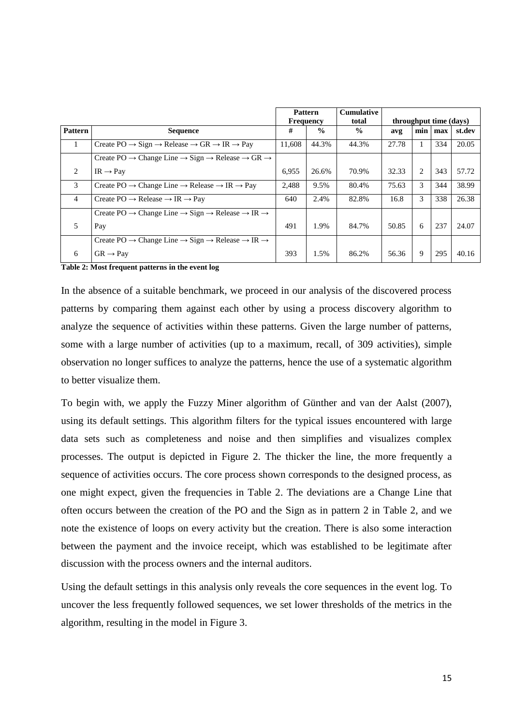|                | <b>Pattern</b><br><b>Frequency</b>                                                                          |        |               | <b>Cumulative</b><br>total |       | throughput time (days) |     |        |  |
|----------------|-------------------------------------------------------------------------------------------------------------|--------|---------------|----------------------------|-------|------------------------|-----|--------|--|
| <b>Pattern</b> | <b>Sequence</b>                                                                                             | #      | $\frac{0}{0}$ | $\frac{0}{0}$              | avg   | min                    | max | st.dev |  |
|                | Create $PO \rightarrow Sign \rightarrow Release \rightarrow GR \rightarrow IR \rightarrow Pay$              | 11,608 | 44.3%         | 44.3%                      | 27.78 | 1                      | 334 | 20.05  |  |
|                | Create PO $\rightarrow$ Change Line $\rightarrow$ Sign $\rightarrow$ Release $\rightarrow$ GR $\rightarrow$ |        |               |                            |       |                        |     |        |  |
| 2              | $IR \rightarrow Pay$                                                                                        | 6,955  | 26.6%         | 70.9%                      | 32.33 | 2                      | 343 | 57.72  |  |
| 3              | Create PO $\rightarrow$ Change Line $\rightarrow$ Release $\rightarrow$ IR $\rightarrow$ Pay                | 2,488  | 9.5%          | 80.4%                      | 75.63 | 3                      | 344 | 38.99  |  |
| $\overline{4}$ | Create $PO \rightarrow$ Release $\rightarrow$ IR $\rightarrow$ Pay                                          | 640    | 2.4%          | 82.8%                      | 16.8  | 3                      | 338 | 26.38  |  |
|                | Create PO $\rightarrow$ Change Line $\rightarrow$ Sign $\rightarrow$ Release $\rightarrow$ IR $\rightarrow$ |        |               |                            |       |                        |     |        |  |
| 5              | Pay                                                                                                         | 491    | 1.9%          | 84.7%                      | 50.85 | 6                      | 237 | 24.07  |  |
|                | Create PO $\rightarrow$ Change Line $\rightarrow$ Sign $\rightarrow$ Release $\rightarrow$ IR $\rightarrow$ |        |               |                            |       |                        |     |        |  |
| 6              | $GR \rightarrow Pay$                                                                                        | 393    | 1.5%          | 86.2%                      | 56.36 | 9                      | 295 | 40.16  |  |

**Table 2: Most frequent patterns in the event log**

In the absence of a suitable benchmark, we proceed in our analysis of the discovered process patterns by comparing them against each other by using a process discovery algorithm to analyze the sequence of activities within these patterns. Given the large number of patterns, some with a large number of activities (up to a maximum, recall, of 309 activities), simple observation no longer suffices to analyze the patterns, hence the use of a systematic algorithm to better visualize them.

To begin with, we apply the Fuzzy Miner algorithm of Günther and van der Aalst [\(2007\)](#page-25-7), using its default settings. This algorithm filters for the typical issues encountered with large data sets such as completeness and noise and then simplifies and visualizes complex processes. The output is depicted in Figure 2. The thicker the line, the more frequently a sequence of activities occurs. The core process shown corresponds to the designed process, as one might expect, given the frequencies in Table 2. The deviations are a Change Line that often occurs between the creation of the PO and the Sign as in pattern 2 in Table 2, and we note the existence of loops on every activity but the creation. There is also some interaction between the payment and the invoice receipt, which was established to be legitimate after discussion with the process owners and the internal auditors.

Using the default settings in this analysis only reveals the core sequences in the event log. To uncover the less frequently followed sequences, we set lower thresholds of the metrics in the algorithm, resulting in the model in Figure 3.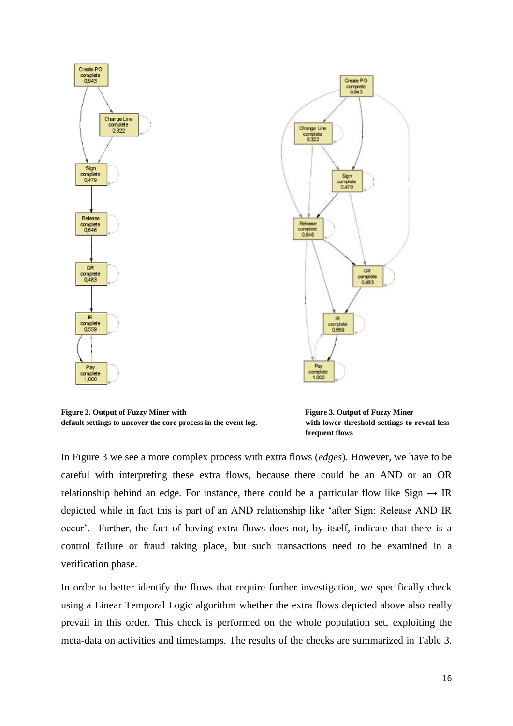

**Figure 2. Output of Fuzzy Miner with Figure 3. Output of Fuzzy Miner default settings to uncover the core process in the event log. with lower threshold settings to reveal less-**

**frequent flows**

In Figure 3 we see a more complex process with extra flows (*edges*). However, we have to be careful with interpreting these extra flows, because there could be an AND or an OR relationship behind an edge. For instance, there could be a particular flow like Sign  $\rightarrow$  IR depicted while in fact this is part of an AND relationship like "after Sign: Release AND IR occur". Further, the fact of having extra flows does not, by itself, indicate that there is a control failure or fraud taking place, but such transactions need to be examined in a verification phase.

In order to better identify the flows that require further investigation, we specifically check using a Linear Temporal Logic algorithm whether the extra flows depicted above also really prevail in this order. This check is performed on the whole population set, exploiting the meta-data on activities and timestamps. The results of the checks are summarized in Table 3.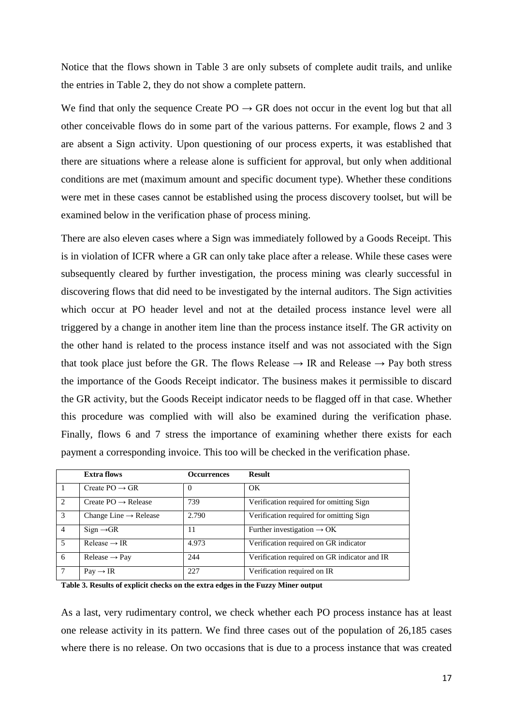Notice that the flows shown in Table 3 are only subsets of complete audit trails, and unlike the entries in Table 2, they do not show a complete pattern.

We find that only the sequence Create  $PO \rightarrow GR$  does not occur in the event log but that all other conceivable flows do in some part of the various patterns. For example, flows 2 and 3 are absent a Sign activity. Upon questioning of our process experts, it was established that there are situations where a release alone is sufficient for approval, but only when additional conditions are met (maximum amount and specific document type). Whether these conditions were met in these cases cannot be established using the process discovery toolset, but will be examined below in the verification phase of process mining.

There are also eleven cases where a Sign was immediately followed by a Goods Receipt. This is in violation of ICFR where a GR can only take place after a release. While these cases were subsequently cleared by further investigation, the process mining was clearly successful in discovering flows that did need to be investigated by the internal auditors. The Sign activities which occur at PO header level and not at the detailed process instance level were all triggered by a change in another item line than the process instance itself. The GR activity on the other hand is related to the process instance itself and was not associated with the Sign that took place just before the GR. The flows Release  $\rightarrow$  IR and Release  $\rightarrow$  Pay both stress the importance of the Goods Receipt indicator. The business makes it permissible to discard the GR activity, but the Goods Receipt indicator needs to be flagged off in that case. Whether this procedure was complied with will also be examined during the verification phase. Finally, flows 6 and 7 stress the importance of examining whether there exists for each payment a corresponding invoice. This too will be checked in the verification phase.

|                | Extra flows                       | <b>Occurrences</b> | <b>Result</b>                                |
|----------------|-----------------------------------|--------------------|----------------------------------------------|
| -1             | Create $PO \rightarrow GR$        | $\Omega$           | OK                                           |
| 2              | Create $PO \rightarrow$ Release   | 739                | Verification required for omitting Sign      |
| 3              | Change Line $\rightarrow$ Release | 2.790              | Verification required for omitting Sign      |
| $\overline{4}$ | $Sign \rightarrow GR$             | 11                 | Further investigation $\rightarrow$ OK       |
| .5             | Release $\rightarrow$ IR          | 4.973              | Verification required on GR indicator        |
| 6              | $Release \rightarrow Pay$         | 244                | Verification required on GR indicator and IR |
| 7              | $Pay \rightarrow IR$              | 227                | Verification required on IR                  |

**Table 3. Results of explicit checks on the extra edges in the Fuzzy Miner output**

As a last, very rudimentary control, we check whether each PO process instance has at least one release activity in its pattern. We find three cases out of the population of 26,185 cases where there is no release. On two occasions that is due to a process instance that was created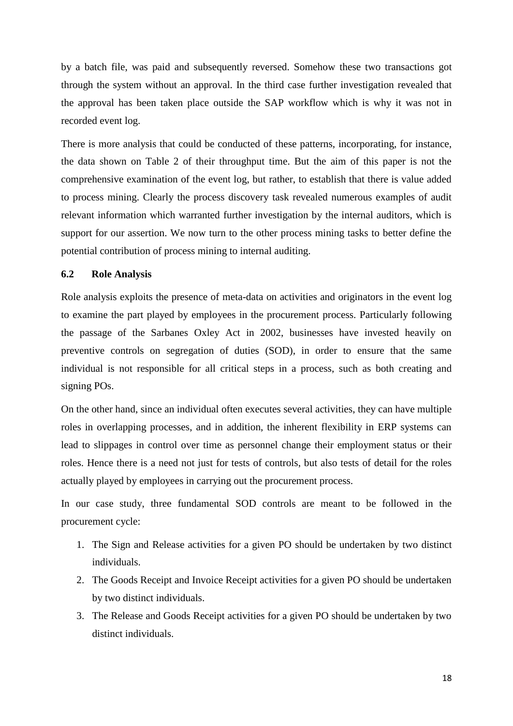by a batch file, was paid and subsequently reversed. Somehow these two transactions got through the system without an approval. In the third case further investigation revealed that the approval has been taken place outside the SAP workflow which is why it was not in recorded event log.

There is more analysis that could be conducted of these patterns, incorporating, for instance, the data shown on Table 2 of their throughput time. But the aim of this paper is not the comprehensive examination of the event log, but rather, to establish that there is value added to process mining. Clearly the process discovery task revealed numerous examples of audit relevant information which warranted further investigation by the internal auditors, which is support for our assertion. We now turn to the other process mining tasks to better define the potential contribution of process mining to internal auditing.

### **6.2 Role Analysis**

Role analysis exploits the presence of meta-data on activities and originators in the event log to examine the part played by employees in the procurement process. Particularly following the passage of the Sarbanes Oxley Act in 2002, businesses have invested heavily on preventive controls on segregation of duties (SOD), in order to ensure that the same individual is not responsible for all critical steps in a process, such as both creating and signing POs.

On the other hand, since an individual often executes several activities, they can have multiple roles in overlapping processes, and in addition, the inherent flexibility in ERP systems can lead to slippages in control over time as personnel change their employment status or their roles. Hence there is a need not just for tests of controls, but also tests of detail for the roles actually played by employees in carrying out the procurement process.

In our case study, three fundamental SOD controls are meant to be followed in the procurement cycle:

- 1. The Sign and Release activities for a given PO should be undertaken by two distinct individuals.
- 2. The Goods Receipt and Invoice Receipt activities for a given PO should be undertaken by two distinct individuals.
- 3. The Release and Goods Receipt activities for a given PO should be undertaken by two distinct individuals.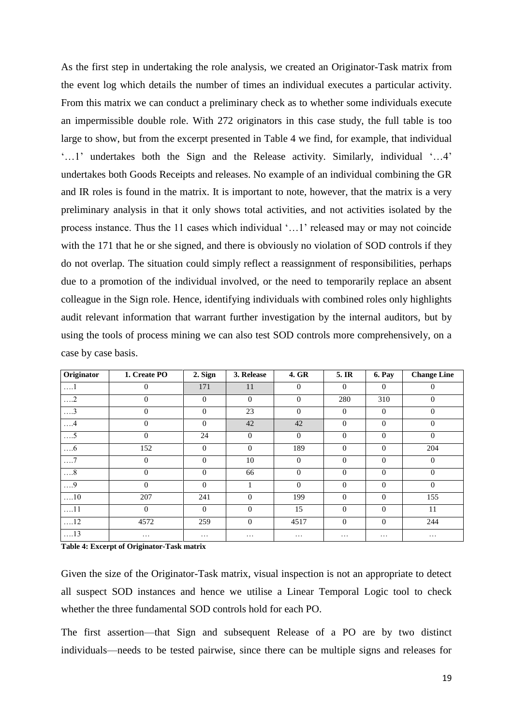As the first step in undertaking the role analysis, we created an Originator-Task matrix from the event log which details the number of times an individual executes a particular activity. From this matrix we can conduct a preliminary check as to whether some individuals execute an impermissible double role. With 272 originators in this case study, the full table is too large to show, but from the excerpt presented in Table 4 we find, for example, that individual "...1" undertakes both the Sign and the Release activity. Similarly, individual "...4" undertakes both Goods Receipts and releases. No example of an individual combining the GR and IR roles is found in the matrix. It is important to note, however, that the matrix is a very preliminary analysis in that it only shows total activities, and not activities isolated by the process instance. Thus the 11 cases which individual "…1" released may or may not coincide with the 171 that he or she signed, and there is obviously no violation of SOD controls if they do not overlap. The situation could simply reflect a reassignment of responsibilities, perhaps due to a promotion of the individual involved, or the need to temporarily replace an absent colleague in the Sign role. Hence, identifying individuals with combined roles only highlights audit relevant information that warrant further investigation by the internal auditors, but by using the tools of process mining we can also test SOD controls more comprehensively, on a case by case basis.

| Originator | 1. Create PO   | 2. Sign        | 3. Release | 4. GR          | 5. IR        | <b>6. Pay</b> | <b>Change Line</b> |
|------------|----------------|----------------|------------|----------------|--------------|---------------|--------------------|
| $\dots 1$  | $\theta$       | 171            | 11         | $\theta$       | $\theta$     | $\Omega$      | $\Omega$           |
| $\dots$ .2 | $\overline{0}$ | $\overline{0}$ | $\theta$   | $\mathbf{0}$   | 280          | 310           | $\theta$           |
| $\dots$ 3  | $\overline{0}$ | $\Omega$       | 23         | $\overline{0}$ | $\Omega$     | $\theta$      | $\theta$           |
| $\dots$ 4  | $\mathbf{0}$   | $\overline{0}$ | 42         | 42             | $\mathbf{0}$ | $\theta$      | $\theta$           |
| $\dots 5$  | $\Omega$       | 24             | $\theta$   | $\mathbf{0}$   | $\Omega$     | $\Omega$      | $\theta$           |
| $\dots6$   | 152            | $\Omega$       | $\Omega$   | 189            | $\Omega$     | $\Omega$      | 204                |
| $\dots 7$  | $\mathbf{0}$   | $\theta$       | 10         | $\mathbf{0}$   | $\theta$     | $\theta$      | $\theta$           |
| $\dots 8$  | $\mathbf{0}$   | $\Omega$       | 66         | $\theta$       | $\Omega$     | $\Omega$      | $\Omega$           |
| $\dots 9$  | $\mathbf{0}$   | $\Omega$       | Ι.         | $\theta$       | $\Omega$     | $\Omega$      | $\theta$           |
| $\dots 10$ | 207            | 241            | $\Omega$   | 199            | $\Omega$     | $\Omega$      | 155                |
| $\dots 11$ | $\Omega$       | $\Omega$       | $\Omega$   | 15             | $\Omega$     | $\Omega$      | 11                 |
| $\dots 12$ | 4572           | 259            | $\Omega$   | 4517           | $\Omega$     | $\Omega$      | 244                |
| $\dots 13$ | $\cdots$       | .              | $\cdots$   | .              | $\cdots$     | $\cdots$      | .                  |

**Table 4: Excerpt of Originator-Task matrix**

Given the size of the Originator-Task matrix, visual inspection is not an appropriate to detect all suspect SOD instances and hence we utilise a Linear Temporal Logic tool to check whether the three fundamental SOD controls hold for each PO.

The first assertion—that Sign and subsequent Release of a PO are by two distinct individuals—needs to be tested pairwise, since there can be multiple signs and releases for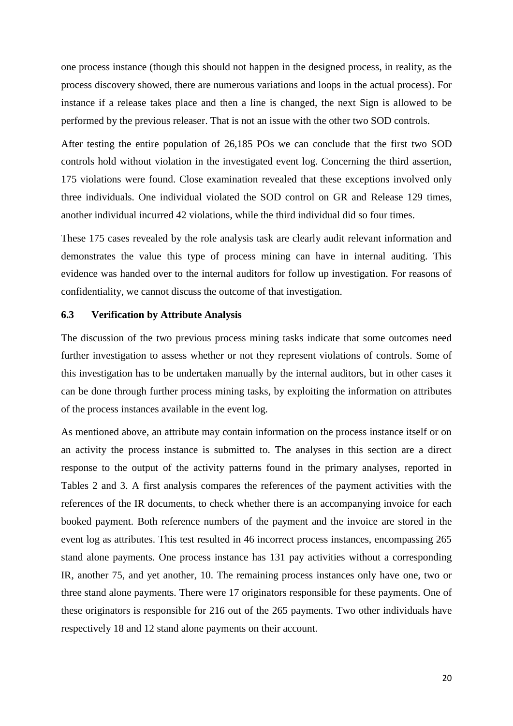one process instance (though this should not happen in the designed process, in reality, as the process discovery showed, there are numerous variations and loops in the actual process). For instance if a release takes place and then a line is changed, the next Sign is allowed to be performed by the previous releaser. That is not an issue with the other two SOD controls.

After testing the entire population of 26,185 POs we can conclude that the first two SOD controls hold without violation in the investigated event log. Concerning the third assertion, 175 violations were found. Close examination revealed that these exceptions involved only three individuals. One individual violated the SOD control on GR and Release 129 times, another individual incurred 42 violations, while the third individual did so four times.

These 175 cases revealed by the role analysis task are clearly audit relevant information and demonstrates the value this type of process mining can have in internal auditing. This evidence was handed over to the internal auditors for follow up investigation. For reasons of confidentiality, we cannot discuss the outcome of that investigation.

### **6.3 Verification by Attribute Analysis**

The discussion of the two previous process mining tasks indicate that some outcomes need further investigation to assess whether or not they represent violations of controls. Some of this investigation has to be undertaken manually by the internal auditors, but in other cases it can be done through further process mining tasks, by exploiting the information on attributes of the process instances available in the event log.

As mentioned above, an attribute may contain information on the process instance itself or on an activity the process instance is submitted to. The analyses in this section are a direct response to the output of the activity patterns found in the primary analyses, reported in Tables 2 and 3. A first analysis compares the references of the payment activities with the references of the IR documents, to check whether there is an accompanying invoice for each booked payment. Both reference numbers of the payment and the invoice are stored in the event log as attributes. This test resulted in 46 incorrect process instances, encompassing 265 stand alone payments. One process instance has 131 pay activities without a corresponding IR, another 75, and yet another, 10. The remaining process instances only have one, two or three stand alone payments. There were 17 originators responsible for these payments. One of these originators is responsible for 216 out of the 265 payments. Two other individuals have respectively 18 and 12 stand alone payments on their account.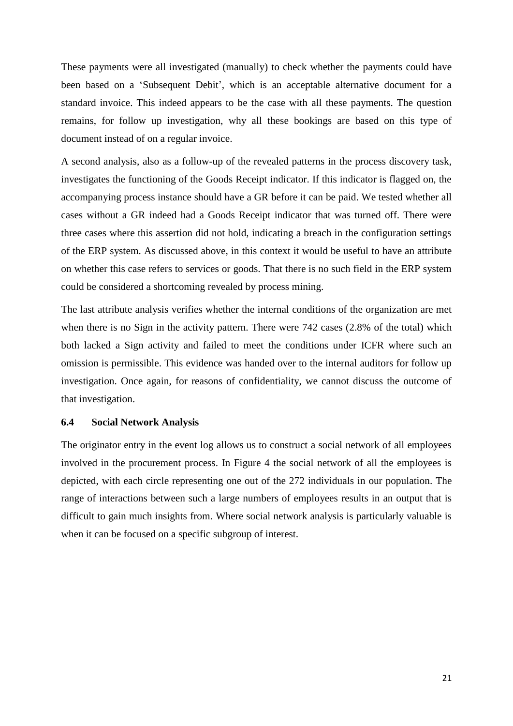These payments were all investigated (manually) to check whether the payments could have been based on a "Subsequent Debit", which is an acceptable alternative document for a standard invoice. This indeed appears to be the case with all these payments. The question remains, for follow up investigation, why all these bookings are based on this type of document instead of on a regular invoice.

A second analysis, also as a follow-up of the revealed patterns in the process discovery task, investigates the functioning of the Goods Receipt indicator. If this indicator is flagged on, the accompanying process instance should have a GR before it can be paid. We tested whether all cases without a GR indeed had a Goods Receipt indicator that was turned off. There were three cases where this assertion did not hold, indicating a breach in the configuration settings of the ERP system. As discussed above, in this context it would be useful to have an attribute on whether this case refers to services or goods. That there is no such field in the ERP system could be considered a shortcoming revealed by process mining.

The last attribute analysis verifies whether the internal conditions of the organization are met when there is no Sign in the activity pattern. There were 742 cases (2.8% of the total) which both lacked a Sign activity and failed to meet the conditions under ICFR where such an omission is permissible. This evidence was handed over to the internal auditors for follow up investigation. Once again, for reasons of confidentiality, we cannot discuss the outcome of that investigation.

### **6.4 Social Network Analysis**

The originator entry in the event log allows us to construct a social network of all employees involved in the procurement process. In Figure 4 the social network of all the employees is depicted, with each circle representing one out of the 272 individuals in our population. The range of interactions between such a large numbers of employees results in an output that is difficult to gain much insights from. Where social network analysis is particularly valuable is when it can be focused on a specific subgroup of interest.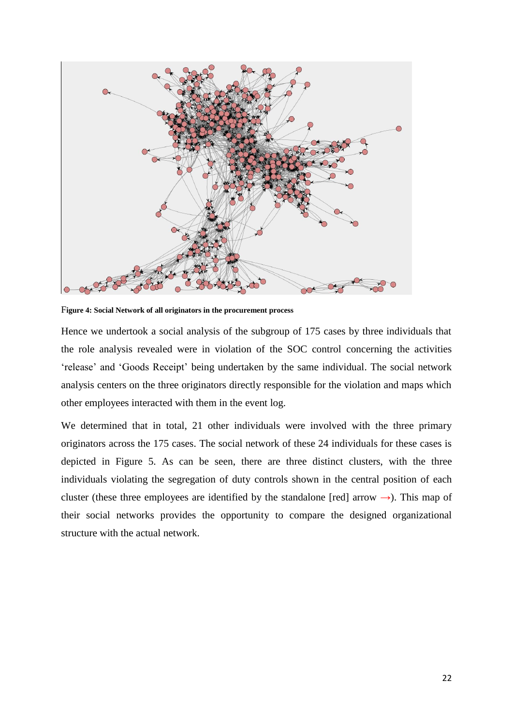

F**igure 4: Social Network of all originators in the procurement process**

Hence we undertook a social analysis of the subgroup of 175 cases by three individuals that the role analysis revealed were in violation of the SOC control concerning the activities "release" and "Goods Receipt" being undertaken by the same individual. The social network analysis centers on the three originators directly responsible for the violation and maps which other employees interacted with them in the event log.

We determined that in total, 21 other individuals were involved with the three primary originators across the 175 cases. The social network of these 24 individuals for these cases is depicted in Figure 5. As can be seen, there are three distinct clusters, with the three individuals violating the segregation of duty controls shown in the central position of each cluster (these three employees are identified by the standalone [red] arrow  $\rightarrow$ ). This map of their social networks provides the opportunity to compare the designed organizational structure with the actual network.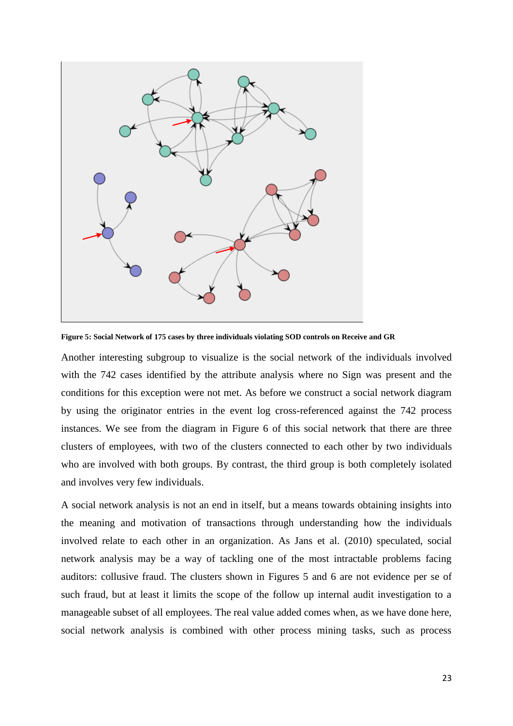

**Figure 5: Social Network of 175 cases by three individuals violating SOD controls on Receive and GR**

Another interesting subgroup to visualize is the social network of the individuals involved with the 742 cases identified by the attribute analysis where no Sign was present and the conditions for this exception were not met. As before we construct a social network diagram by using the originator entries in the event log cross-referenced against the 742 process instances. We see from the diagram in Figure 6 of this social network that there are three clusters of employees, with two of the clusters connected to each other by two individuals who are involved with both groups. By contrast, the third group is both completely isolated and involves very few individuals.

A social network analysis is not an end in itself, but a means towards obtaining insights into the meaning and motivation of transactions through understanding how the individuals involved relate to each other in an organization. As Jans et al. (2010) speculated, social network analysis may be a way of tackling one of the most intractable problems facing auditors: collusive fraud. The clusters shown in Figures 5 and 6 are not evidence per se of such fraud, but at least it limits the scope of the follow up internal audit investigation to a manageable subset of all employees. The real value added comes when, as we have done here, social network analysis is combined with other process mining tasks, such as process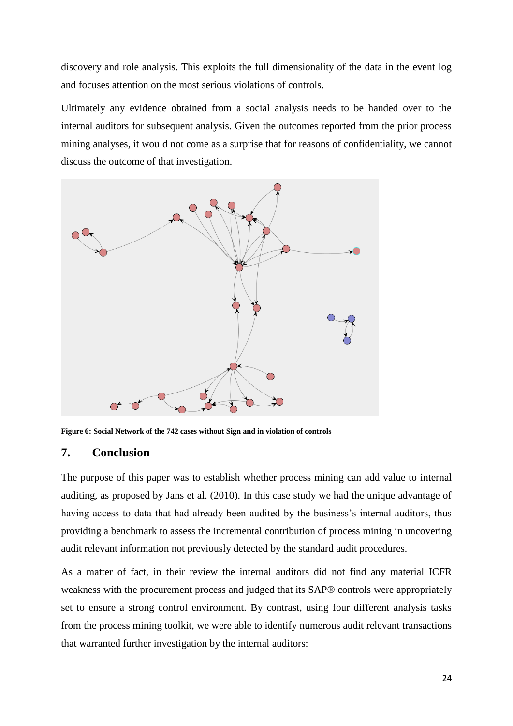discovery and role analysis. This exploits the full dimensionality of the data in the event log and focuses attention on the most serious violations of controls.

Ultimately any evidence obtained from a social analysis needs to be handed over to the internal auditors for subsequent analysis. Given the outcomes reported from the prior process mining analyses, it would not come as a surprise that for reasons of confidentiality, we cannot discuss the outcome of that investigation.



**Figure 6: Social Network of the 742 cases without Sign and in violation of controls** 

# **7. Conclusion**

The purpose of this paper was to establish whether process mining can add value to internal auditing, as proposed by Jans et al. (2010). In this case study we had the unique advantage of having access to data that had already been audited by the business's internal auditors, thus providing a benchmark to assess the incremental contribution of process mining in uncovering audit relevant information not previously detected by the standard audit procedures.

As a matter of fact, in their review the internal auditors did not find any material ICFR weakness with the procurement process and judged that its SAP® controls were appropriately set to ensure a strong control environment. By contrast, using four different analysis tasks from the process mining toolkit, we were able to identify numerous audit relevant transactions that warranted further investigation by the internal auditors: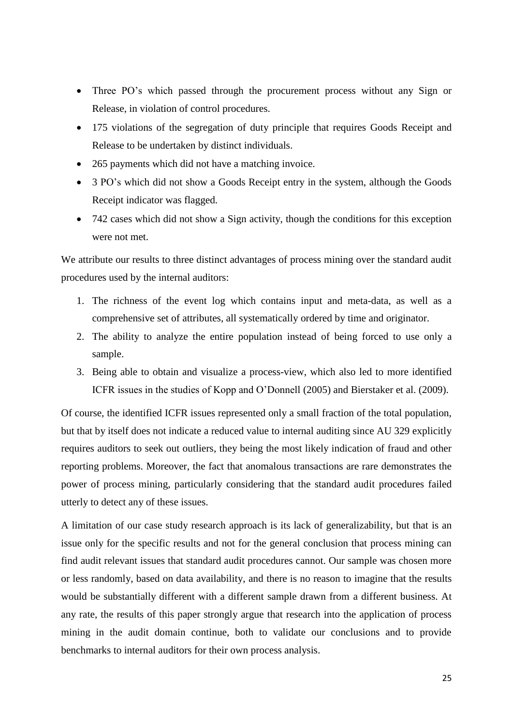- Three PO's which passed through the procurement process without any Sign or Release, in violation of control procedures.
- 175 violations of the segregation of duty principle that requires Goods Receipt and Release to be undertaken by distinct individuals.
- 265 payments which did not have a matching invoice.
- 3 PO's which did not show a Goods Receipt entry in the system, although the Goods Receipt indicator was flagged.
- 742 cases which did not show a Sign activity, though the conditions for this exception were not met.

We attribute our results to three distinct advantages of process mining over the standard audit procedures used by the internal auditors:

- 1. The richness of the event log which contains input and meta-data, as well as a comprehensive set of attributes, all systematically ordered by time and originator.
- 2. The ability to analyze the entire population instead of being forced to use only a sample.
- 3. Being able to obtain and visualize a process-view, which also led to more identified ICFR issues in the studies of Kopp and O"Donnell [\(2005\)](#page-26-0) and Bierstaker et al. [\(2009\)](#page-25-0).

Of course, the identified ICFR issues represented only a small fraction of the total population, but that by itself does not indicate a reduced value to internal auditing since AU 329 explicitly requires auditors to seek out outliers, they being the most likely indication of fraud and other reporting problems. Moreover, the fact that anomalous transactions are rare demonstrates the power of process mining, particularly considering that the standard audit procedures failed utterly to detect any of these issues.

A limitation of our case study research approach is its lack of generalizability, but that is an issue only for the specific results and not for the general conclusion that process mining can find audit relevant issues that standard audit procedures cannot. Our sample was chosen more or less randomly, based on data availability, and there is no reason to imagine that the results would be substantially different with a different sample drawn from a different business. At any rate, the results of this paper strongly argue that research into the application of process mining in the audit domain continue, both to validate our conclusions and to provide benchmarks to internal auditors for their own process analysis.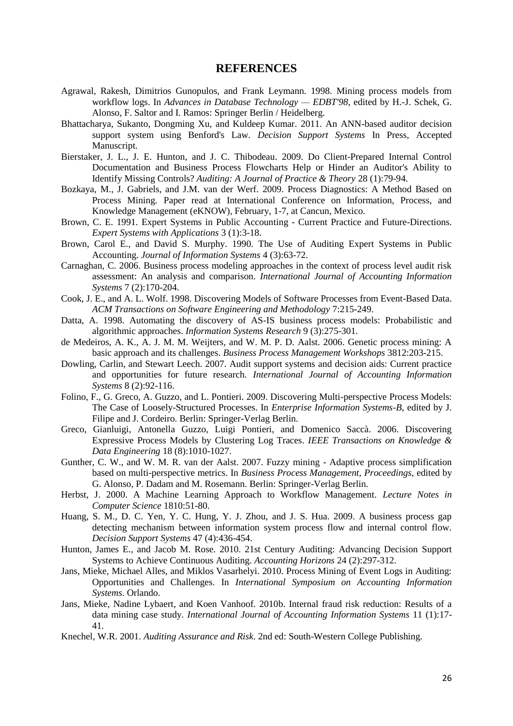### **REFERENCES**

- <span id="page-25-2"></span>Agrawal, Rakesh, Dimitrios Gunopulos, and Frank Leymann. 1998. Mining process models from workflow logs. In *Advances in Database Technology — EDBT'98*, edited by H.-J. Schek, G. Alonso, F. Saltor and I. Ramos: Springer Berlin / Heidelberg.
- Bhattacharya, Sukanto, Dongming Xu, and Kuldeep Kumar. 2011. An ANN-based auditor decision support system using Benford's Law. *Decision Support Systems* In Press, Accepted Manuscript.
- <span id="page-25-0"></span>Bierstaker, J. L., J. E. Hunton, and J. C. Thibodeau. 2009. Do Client-Prepared Internal Control Documentation and Business Process Flowcharts Help or Hinder an Auditor's Ability to Identify Missing Controls? *Auditing: A Journal of Practice & Theory* 28 (1):79-94.
- <span id="page-25-3"></span>Bozkaya, M., J. Gabriels, and J.M. van der Werf. 2009. Process Diagnostics: A Method Based on Process Mining. Paper read at International Conference on Information, Process, and Knowledge Management (eKNOW), February, 1-7, at Cancun, Mexico.
- Brown, C. E. 1991. Expert Systems in Public Accounting Current Practice and Future-Directions. *Expert Systems with Applications* 3 (1):3-18.
- Brown, Carol E., and David S. Murphy. 1990. The Use of Auditing Expert Systems in Public Accounting. *Journal of Information Systems* 4 (3):63-72.
- <span id="page-25-1"></span>Carnaghan, C. 2006. Business process modeling approaches in the context of process level audit risk assessment: An analysis and comparison. *International Journal of Accounting Information Systems* 7 (2):170-204.
- Cook, J. E., and A. L. Wolf. 1998. Discovering Models of Software Processes from Event-Based Data. *ACM Transactions on Software Engineering and Methodology* 7:215-249.
- Datta, A. 1998. Automating the discovery of AS-IS business process models: Probabilistic and algorithmic approaches. *Information Systems Research* 9 (3):275-301.
- <span id="page-25-4"></span>de Medeiros, A. K., A. J. M. M. Weijters, and W. M. P. D. Aalst. 2006. Genetic process mining: A basic approach and its challenges. *Business Process Management Workshops* 3812:203-215.
- Dowling, Carlin, and Stewart Leech. 2007. Audit support systems and decision aids: Current practice and opportunities for future research. *International Journal of Accounting Information Systems* 8 (2):92-116.
- <span id="page-25-5"></span>Folino, F., G. Greco, A. Guzzo, and L. Pontieri. 2009. Discovering Multi-perspective Process Models: The Case of Loosely-Structured Processes. In *Enterprise Information Systems-B*, edited by J. Filipe and J. Cordeiro. Berlin: Springer-Verlag Berlin.
- <span id="page-25-6"></span>Greco, Gianluigi, Antonella Guzzo, Luigi Pontieri, and Domenico Saccà. 2006. Discovering Expressive Process Models by Clustering Log Traces. *IEEE Transactions on Knowledge & Data Engineering* 18 (8):1010-1027.
- <span id="page-25-7"></span>Gunther, C. W., and W. M. R. van der Aalst. 2007. Fuzzy mining - Adaptive process simplification based on multi-perspective metrics. In *Business Process Management, Proceedings*, edited by G. Alonso, P. Dadam and M. Rosemann. Berlin: Springer-Verlag Berlin.
- Herbst, J. 2000. A Machine Learning Approach to Workflow Management. *Lecture Notes in Computer Science* 1810:51-80.
- Huang, S. M., D. C. Yen, Y. C. Hung, Y. J. Zhou, and J. S. Hua. 2009. A business process gap detecting mechanism between information system process flow and internal control flow. *Decision Support Systems* 47 (4):436-454.
- Hunton, James E., and Jacob M. Rose. 2010. 21st Century Auditing: Advancing Decision Support Systems to Achieve Continuous Auditing. *Accounting Horizons* 24 (2):297-312.
- Jans, Mieke, Michael Alles, and Miklos Vasarhelyi. 2010. Process Mining of Event Logs in Auditing: Opportunities and Challenges. In *International Symposium on Accounting Information Systems*. Orlando.
- Jans, Mieke, Nadine Lybaert, and Koen Vanhoof. 2010b. Internal fraud risk reduction: Results of a data mining case study. *International Journal of Accounting Information Systems* 11 (1):17- 41.
- <span id="page-25-8"></span>Knechel, W.R. 2001. *Auditing Assurance and Risk*. 2nd ed: South-Western College Publishing.